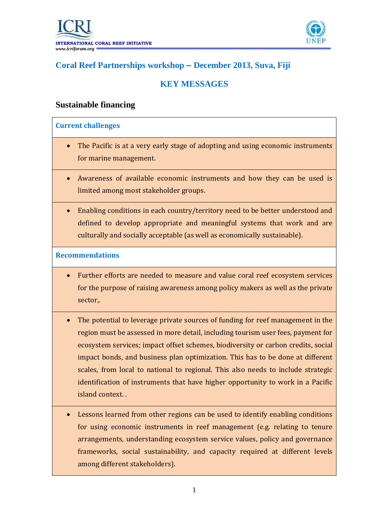

# **Coral Reef Partnerships workshop – December 2013, Suva, Fiji**

# **KEY MESSAGES**

### **Sustainable financing**

#### **Current challenges**

- The Pacific is at a very early stage of adopting and using economic instruments for marine management.
- Awareness of available economic instruments and how they can be used is limited among most stakeholder groups.
- Enabling conditions in each country/territory need to be better understood and defined to develop appropriate and meaningful systems that work and are culturally and socially acceptable (as well as economically sustainable).

#### **Recommendations**

- Further efforts are needed to measure and value coral reef ecosystem services for the purpose of raising awareness among policy makers as well as the private sector,.
- The potential to leverage private sources of funding for reef management in the region must be assessed in more detail, including tourism user fees, payment for ecosystem services; impact offset schemes, biodiversity or carbon credits, social impact bonds, and business plan optimization. This has to be done at different scales, from local to national to regional. This also needs to include strategic identification of instruments that have higher opportunity to work in a Pacific island context. .
- Lessons learned from other regions can be used to identify enabling conditions for using economic instruments in reef management (e.g. relating to tenure arrangements, understanding ecosystem service values, policy and governance frameworks, social sustainability, and capacity required at different levels among different stakeholders).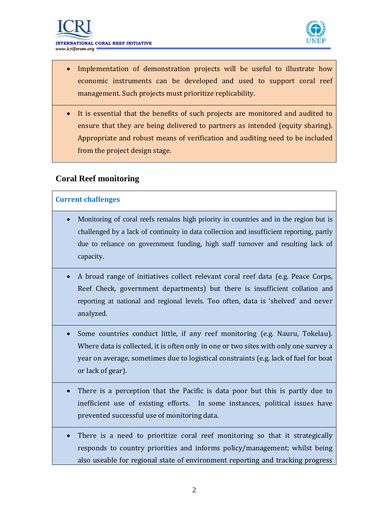



- Implementation of demonstration projects will be useful to illustrate how economic instruments can be developed and used to support coral reef management. Such projects must prioritize replicability.
- It is essential that the benefits of such projects are monitored and audited to ensure that they are being delivered to partners as intended (equity sharing). Appropriate and robust means of verification and auditing need to be included from the project design stage.

### **Coral Reef monitoring**

#### **Current challenges**

- Monitoring of coral reefs remains high priority in countries and in the region but is challenged by a lack of continuity in data collection and insufficient reporting, partly due to reliance on government funding, high staff turnover and resulting lack of capacity.
- A broad range of initiatives collect relevant coral reef data (e.g. Peace Corps, Reef Check, government departments) but there is insufficient collation and reporting at national and regional levels. Too often, data is 'shelved' and never analyzed.
- Some countries conduct little, if any reef monitoring (e.g. Nauru, Tokelau). Where data is collected, it is often only in one or two sites with only one survey a year on average, sometimes due to logistical constraints (e.g. lack of fuel for boat or lack of gear).
- There is a perception that the Pacific is data poor but this is partly due to inefficient use of existing efforts. In some instances, political issues have prevented successful use of monitoring data.
- There is a need to prioritize coral reef monitoring so that it strategically responds to country priorities and informs policy/management; whilst being also useable for regional state of environment reporting and tracking progress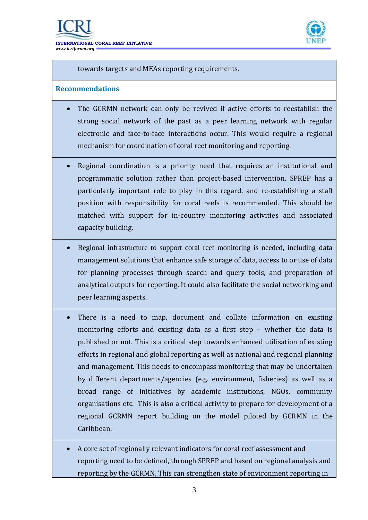

towards targets and MEAs reporting requirements.

#### **Recommendations**

- The GCRMN network can only be revived if active efforts to reestablish the strong social network of the past as a peer learning network with regular electronic and face-to-face interactions occur. This would require a regional mechanism for coordination of coral reef monitoring and reporting.
- Regional coordination is a priority need that requires an institutional and programmatic solution rather than project-based intervention. SPREP has a particularly important role to play in this regard, and re-establishing a staff position with responsibility for coral reefs is recommended. This should be matched with support for in-country monitoring activities and associated capacity building.
- Regional infrastructure to support coral reef monitoring is needed, including data management solutions that enhance safe storage of data, access to or use of data for planning processes through search and query tools, and preparation of analytical outputs for reporting. It could also facilitate the social networking and peer learning aspects.
- There is a need to map, document and collate information on existing monitoring efforts and existing data as a first step – whether the data is published or not. This is a critical step towards enhanced utilisation of existing efforts in regional and global reporting as well as national and regional planning and management. This needs to encompass monitoring that may be undertaken by different departments/agencies (e.g. environment, fisheries) as well as a broad range of initiatives by academic institutions, NGOs, community organisations etc. This is also a critical activity to prepare for development of a regional GCRMN report building on the model piloted by GCRMN in the Caribbean.
- A core set of regionally relevant indicators for coral reef assessment and reporting need to be defined, through SPREP and based on regional analysis and reporting by the GCRMN, This can strengthen state of environment reporting in